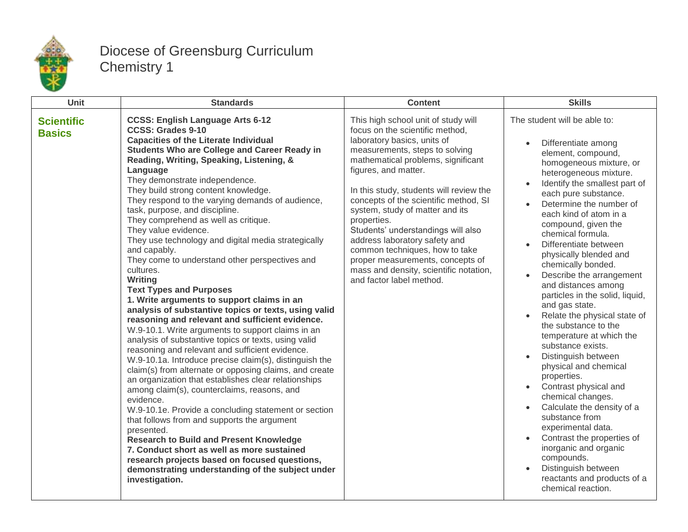

## Diocese of Greensburg Curriculum Chemistry 1

| Unit                               | <b>Standards</b>                                                                                                                                                                                                                                                                                                                                                                                                                                                                                                                                                                                                                                                                                                                                                                                                                                                                                                                                                                                                                                                                                                                                                                                                                                                                                                                                                                                                                                                                                                                                                   | <b>Content</b>                                                                                                                                                                                                                                                                                                                                                                                                                                                                                                                                                 | <b>Skills</b>                                                                                                                                                                                                                                                                                                                                                                                                                                                                                                                                                                                                                                                                                                                                                                                                                                                                                                          |
|------------------------------------|--------------------------------------------------------------------------------------------------------------------------------------------------------------------------------------------------------------------------------------------------------------------------------------------------------------------------------------------------------------------------------------------------------------------------------------------------------------------------------------------------------------------------------------------------------------------------------------------------------------------------------------------------------------------------------------------------------------------------------------------------------------------------------------------------------------------------------------------------------------------------------------------------------------------------------------------------------------------------------------------------------------------------------------------------------------------------------------------------------------------------------------------------------------------------------------------------------------------------------------------------------------------------------------------------------------------------------------------------------------------------------------------------------------------------------------------------------------------------------------------------------------------------------------------------------------------|----------------------------------------------------------------------------------------------------------------------------------------------------------------------------------------------------------------------------------------------------------------------------------------------------------------------------------------------------------------------------------------------------------------------------------------------------------------------------------------------------------------------------------------------------------------|------------------------------------------------------------------------------------------------------------------------------------------------------------------------------------------------------------------------------------------------------------------------------------------------------------------------------------------------------------------------------------------------------------------------------------------------------------------------------------------------------------------------------------------------------------------------------------------------------------------------------------------------------------------------------------------------------------------------------------------------------------------------------------------------------------------------------------------------------------------------------------------------------------------------|
| <b>Scientific</b><br><b>Basics</b> | <b>CCSS: English Language Arts 6-12</b><br><b>CCSS: Grades 9-10</b><br><b>Capacities of the Literate Individual</b><br><b>Students Who are College and Career Ready in</b><br>Reading, Writing, Speaking, Listening, &<br>Language<br>They demonstrate independence.<br>They build strong content knowledge.<br>They respond to the varying demands of audience,<br>task, purpose, and discipline.<br>They comprehend as well as critique.<br>They value evidence.<br>They use technology and digital media strategically<br>and capably.<br>They come to understand other perspectives and<br>cultures.<br>Writing<br><b>Text Types and Purposes</b><br>1. Write arguments to support claims in an<br>analysis of substantive topics or texts, using valid<br>reasoning and relevant and sufficient evidence.<br>W.9-10.1. Write arguments to support claims in an<br>analysis of substantive topics or texts, using valid<br>reasoning and relevant and sufficient evidence.<br>W.9-10.1a. Introduce precise claim(s), distinguish the<br>claim(s) from alternate or opposing claims, and create<br>an organization that establishes clear relationships<br>among claim(s), counterclaims, reasons, and<br>evidence.<br>W.9-10.1e. Provide a concluding statement or section<br>that follows from and supports the argument<br>presented.<br><b>Research to Build and Present Knowledge</b><br>7. Conduct short as well as more sustained<br>research projects based on focused questions,<br>demonstrating understanding of the subject under<br>investigation. | This high school unit of study will<br>focus on the scientific method,<br>laboratory basics, units of<br>measurements, steps to solving<br>mathematical problems, significant<br>figures, and matter.<br>In this study, students will review the<br>concepts of the scientific method, SI<br>system, study of matter and its<br>properties.<br>Students' understandings will also<br>address laboratory safety and<br>common techniques, how to take<br>proper measurements, concepts of<br>mass and density, scientific notation,<br>and factor label method. | The student will be able to:<br>Differentiate among<br>element, compound,<br>homogeneous mixture, or<br>heterogeneous mixture.<br>Identify the smallest part of<br>each pure substance.<br>Determine the number of<br>each kind of atom in a<br>compound, given the<br>chemical formula.<br>Differentiate between<br>physically blended and<br>chemically bonded.<br>Describe the arrangement<br>and distances among<br>particles in the solid, liquid,<br>and gas state.<br>Relate the physical state of<br>the substance to the<br>temperature at which the<br>substance exists.<br>Distinguish between<br>physical and chemical<br>properties.<br>Contrast physical and<br>chemical changes.<br>Calculate the density of a<br>substance from<br>experimental data.<br>Contrast the properties of<br>inorganic and organic<br>compounds.<br>Distinguish between<br>reactants and products of a<br>chemical reaction. |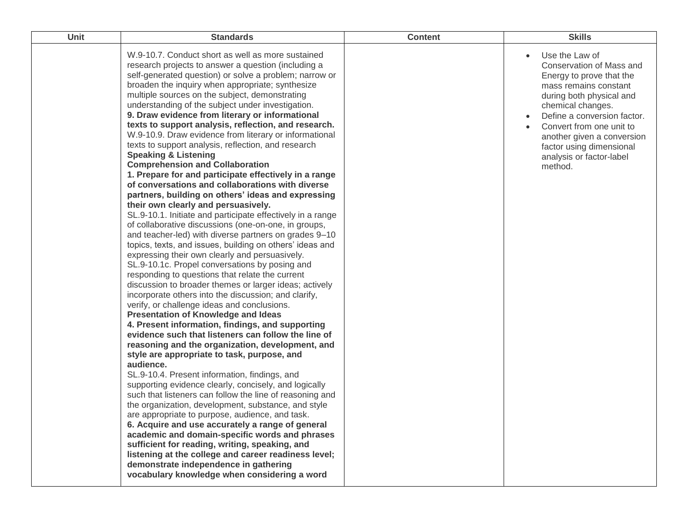| Unit | <b>Standards</b>                                                                                                                                                                                                                                                                                                                                                                                                                                                                                                                                                                                                                                                                                                                                                                                                                                                                                                                                                                                                                                                                                                                                                                                                                                                                                                                                                                                                                                                                                                                                                                                                                                                                                                                                                                                                                                                                                                                                                                                                                                                                                                                                                                                                                                                                      | <b>Content</b> | <b>Skills</b>                                                                                                                                                                                                                                                                                                |
|------|---------------------------------------------------------------------------------------------------------------------------------------------------------------------------------------------------------------------------------------------------------------------------------------------------------------------------------------------------------------------------------------------------------------------------------------------------------------------------------------------------------------------------------------------------------------------------------------------------------------------------------------------------------------------------------------------------------------------------------------------------------------------------------------------------------------------------------------------------------------------------------------------------------------------------------------------------------------------------------------------------------------------------------------------------------------------------------------------------------------------------------------------------------------------------------------------------------------------------------------------------------------------------------------------------------------------------------------------------------------------------------------------------------------------------------------------------------------------------------------------------------------------------------------------------------------------------------------------------------------------------------------------------------------------------------------------------------------------------------------------------------------------------------------------------------------------------------------------------------------------------------------------------------------------------------------------------------------------------------------------------------------------------------------------------------------------------------------------------------------------------------------------------------------------------------------------------------------------------------------------------------------------------------------|----------------|--------------------------------------------------------------------------------------------------------------------------------------------------------------------------------------------------------------------------------------------------------------------------------------------------------------|
|      | W.9-10.7. Conduct short as well as more sustained<br>research projects to answer a question (including a<br>self-generated question) or solve a problem; narrow or<br>broaden the inquiry when appropriate; synthesize<br>multiple sources on the subject, demonstrating<br>understanding of the subject under investigation.<br>9. Draw evidence from literary or informational<br>texts to support analysis, reflection, and research.<br>W.9-10.9. Draw evidence from literary or informational<br>texts to support analysis, reflection, and research<br><b>Speaking &amp; Listening</b><br><b>Comprehension and Collaboration</b><br>1. Prepare for and participate effectively in a range<br>of conversations and collaborations with diverse<br>partners, building on others' ideas and expressing<br>their own clearly and persuasively.<br>SL.9-10.1. Initiate and participate effectively in a range<br>of collaborative discussions (one-on-one, in groups,<br>and teacher-led) with diverse partners on grades 9-10<br>topics, texts, and issues, building on others' ideas and<br>expressing their own clearly and persuasively.<br>SL.9-10.1c. Propel conversations by posing and<br>responding to questions that relate the current<br>discussion to broader themes or larger ideas; actively<br>incorporate others into the discussion; and clarify,<br>verify, or challenge ideas and conclusions.<br><b>Presentation of Knowledge and Ideas</b><br>4. Present information, findings, and supporting<br>evidence such that listeners can follow the line of<br>reasoning and the organization, development, and<br>style are appropriate to task, purpose, and<br>audience.<br>SL.9-10.4. Present information, findings, and<br>supporting evidence clearly, concisely, and logically<br>such that listeners can follow the line of reasoning and<br>the organization, development, substance, and style<br>are appropriate to purpose, audience, and task.<br>6. Acquire and use accurately a range of general<br>academic and domain-specific words and phrases<br>sufficient for reading, writing, speaking, and<br>listening at the college and career readiness level;<br>demonstrate independence in gathering<br>vocabulary knowledge when considering a word |                | Use the Law of<br>Conservation of Mass and<br>Energy to prove that the<br>mass remains constant<br>during both physical and<br>chemical changes.<br>Define a conversion factor.<br>Convert from one unit to<br>another given a conversion<br>factor using dimensional<br>analysis or factor-label<br>method. |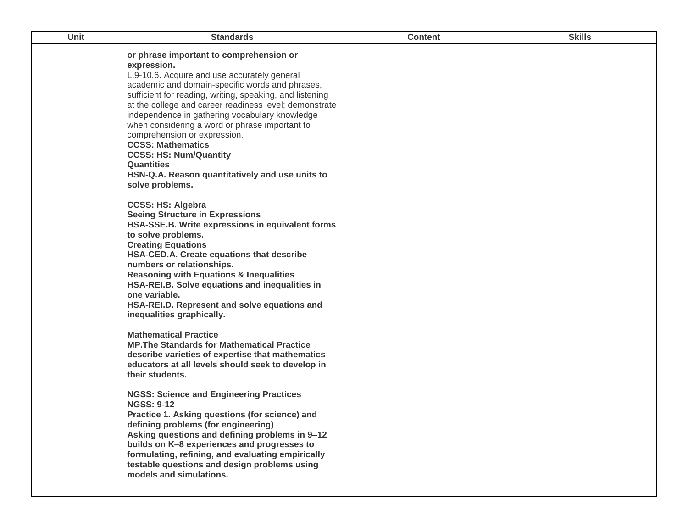| Unit | <b>Standards</b>                                                                                                                                                                                                                                                                                                                                                                                                                                                                                                                                                                                                | <b>Content</b> | <b>Skills</b> |
|------|-----------------------------------------------------------------------------------------------------------------------------------------------------------------------------------------------------------------------------------------------------------------------------------------------------------------------------------------------------------------------------------------------------------------------------------------------------------------------------------------------------------------------------------------------------------------------------------------------------------------|----------------|---------------|
|      | or phrase important to comprehension or<br>expression.<br>L.9-10.6. Acquire and use accurately general<br>academic and domain-specific words and phrases,<br>sufficient for reading, writing, speaking, and listening<br>at the college and career readiness level; demonstrate<br>independence in gathering vocabulary knowledge<br>when considering a word or phrase important to<br>comprehension or expression.<br><b>CCSS: Mathematics</b><br><b>CCSS: HS: Num/Quantity</b><br><b>Quantities</b><br>HSN-Q.A. Reason quantitatively and use units to<br>solve problems.                                     |                |               |
|      | <b>CCSS: HS: Algebra</b><br><b>Seeing Structure in Expressions</b><br>HSA-SSE.B. Write expressions in equivalent forms<br>to solve problems.<br><b>Creating Equations</b><br>HSA-CED.A. Create equations that describe<br>numbers or relationships.<br><b>Reasoning with Equations &amp; Inequalities</b><br>HSA-REI.B. Solve equations and inequalities in<br>one variable.<br>HSA-REI.D. Represent and solve equations and<br>inequalities graphically.                                                                                                                                                       |                |               |
|      | <b>Mathematical Practice</b><br><b>MP. The Standards for Mathematical Practice</b><br>describe varieties of expertise that mathematics<br>educators at all levels should seek to develop in<br>their students.<br><b>NGSS: Science and Engineering Practices</b><br><b>NGSS: 9-12</b><br>Practice 1. Asking questions (for science) and<br>defining problems (for engineering)<br>Asking questions and defining problems in 9-12<br>builds on K-8 experiences and progresses to<br>formulating, refining, and evaluating empirically<br>testable questions and design problems using<br>models and simulations. |                |               |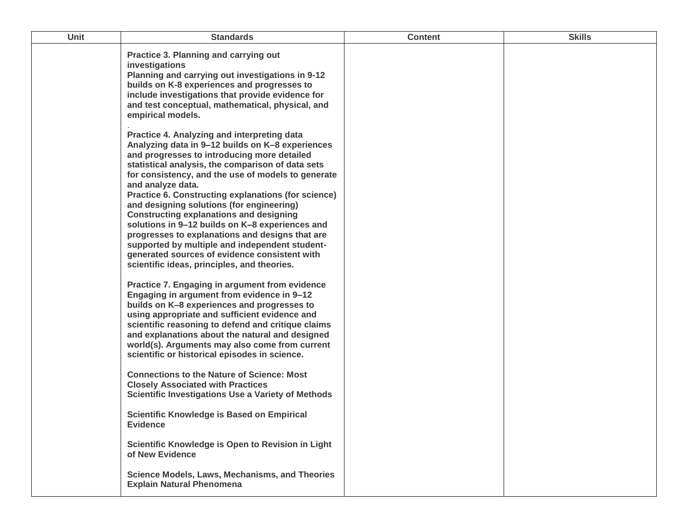| <b>Unit</b> | <b>Standards</b>                                                                                                                                                                                                                                                                                                                                                                                                                                                                                                                                                                                                                                                                                                                               | <b>Content</b> | <b>Skills</b> |
|-------------|------------------------------------------------------------------------------------------------------------------------------------------------------------------------------------------------------------------------------------------------------------------------------------------------------------------------------------------------------------------------------------------------------------------------------------------------------------------------------------------------------------------------------------------------------------------------------------------------------------------------------------------------------------------------------------------------------------------------------------------------|----------------|---------------|
|             | Practice 3. Planning and carrying out<br>investigations<br>Planning and carrying out investigations in 9-12<br>builds on K-8 experiences and progresses to<br>include investigations that provide evidence for<br>and test conceptual, mathematical, physical, and<br>empirical models.                                                                                                                                                                                                                                                                                                                                                                                                                                                        |                |               |
|             | Practice 4. Analyzing and interpreting data<br>Analyzing data in 9-12 builds on K-8 experiences<br>and progresses to introducing more detailed<br>statistical analysis, the comparison of data sets<br>for consistency, and the use of models to generate<br>and analyze data.<br>Practice 6. Constructing explanations (for science)<br>and designing solutions (for engineering)<br><b>Constructing explanations and designing</b><br>solutions in 9-12 builds on K-8 experiences and<br>progresses to explanations and designs that are<br>supported by multiple and independent student-<br>generated sources of evidence consistent with<br>scientific ideas, principles, and theories.<br>Practice 7. Engaging in argument from evidence |                |               |
|             | Engaging in argument from evidence in 9-12<br>builds on K-8 experiences and progresses to<br>using appropriate and sufficient evidence and<br>scientific reasoning to defend and critique claims<br>and explanations about the natural and designed<br>world(s). Arguments may also come from current<br>scientific or historical episodes in science.<br><b>Connections to the Nature of Science: Most</b>                                                                                                                                                                                                                                                                                                                                    |                |               |
|             | <b>Closely Associated with Practices</b><br><b>Scientific Investigations Use a Variety of Methods</b><br><b>Scientific Knowledge is Based on Empirical</b><br><b>Evidence</b><br>Scientific Knowledge is Open to Revision in Light<br>of New Evidence                                                                                                                                                                                                                                                                                                                                                                                                                                                                                          |                |               |
|             | <b>Science Models, Laws, Mechanisms, and Theories</b><br><b>Explain Natural Phenomena</b>                                                                                                                                                                                                                                                                                                                                                                                                                                                                                                                                                                                                                                                      |                |               |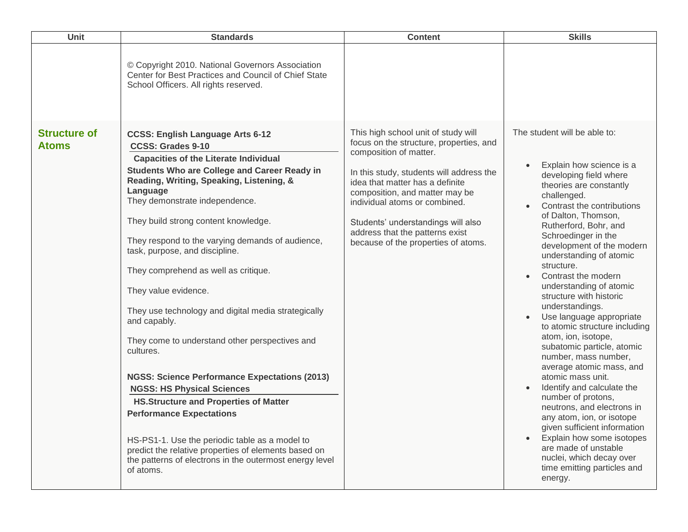| <b>Unit</b>                         | <b>Standards</b>                                                                                                                                                                                                                                                                                                                                                                                                                                                                                                                                                                                                                                                                                                                                                                                                                                                                                                                                                           | <b>Content</b>                                                                                                                                                                                                                                                                                                                                                             | <b>Skills</b>                                                                                                                                                                                                                                                                                                                                                                                                                                                                                                                                                                                                                                                                                                                                                                                                                                                                             |
|-------------------------------------|----------------------------------------------------------------------------------------------------------------------------------------------------------------------------------------------------------------------------------------------------------------------------------------------------------------------------------------------------------------------------------------------------------------------------------------------------------------------------------------------------------------------------------------------------------------------------------------------------------------------------------------------------------------------------------------------------------------------------------------------------------------------------------------------------------------------------------------------------------------------------------------------------------------------------------------------------------------------------|----------------------------------------------------------------------------------------------------------------------------------------------------------------------------------------------------------------------------------------------------------------------------------------------------------------------------------------------------------------------------|-------------------------------------------------------------------------------------------------------------------------------------------------------------------------------------------------------------------------------------------------------------------------------------------------------------------------------------------------------------------------------------------------------------------------------------------------------------------------------------------------------------------------------------------------------------------------------------------------------------------------------------------------------------------------------------------------------------------------------------------------------------------------------------------------------------------------------------------------------------------------------------------|
|                                     | © Copyright 2010. National Governors Association<br>Center for Best Practices and Council of Chief State<br>School Officers. All rights reserved.                                                                                                                                                                                                                                                                                                                                                                                                                                                                                                                                                                                                                                                                                                                                                                                                                          |                                                                                                                                                                                                                                                                                                                                                                            |                                                                                                                                                                                                                                                                                                                                                                                                                                                                                                                                                                                                                                                                                                                                                                                                                                                                                           |
| <b>Structure of</b><br><b>Atoms</b> | <b>CCSS: English Language Arts 6-12</b><br><b>CCSS: Grades 9-10</b><br><b>Capacities of the Literate Individual</b><br><b>Students Who are College and Career Ready in</b><br>Reading, Writing, Speaking, Listening, &<br>Language<br>They demonstrate independence.<br>They build strong content knowledge.<br>They respond to the varying demands of audience,<br>task, purpose, and discipline.<br>They comprehend as well as critique.<br>They value evidence.<br>They use technology and digital media strategically<br>and capably.<br>They come to understand other perspectives and<br>cultures.<br><b>NGSS: Science Performance Expectations (2013)</b><br><b>NGSS: HS Physical Sciences</b><br><b>HS.Structure and Properties of Matter</b><br><b>Performance Expectations</b><br>HS-PS1-1. Use the periodic table as a model to<br>predict the relative properties of elements based on<br>the patterns of electrons in the outermost energy level<br>of atoms. | This high school unit of study will<br>focus on the structure, properties, and<br>composition of matter.<br>In this study, students will address the<br>idea that matter has a definite<br>composition, and matter may be<br>individual atoms or combined.<br>Students' understandings will also<br>address that the patterns exist<br>because of the properties of atoms. | The student will be able to:<br>Explain how science is a<br>developing field where<br>theories are constantly<br>challenged.<br>Contrast the contributions<br>of Dalton, Thomson,<br>Rutherford, Bohr, and<br>Schroedinger in the<br>development of the modern<br>understanding of atomic<br>structure.<br>Contrast the modern<br>understanding of atomic<br>structure with historic<br>understandings.<br>Use language appropriate<br>$\bullet$<br>to atomic structure including<br>atom, ion, isotope,<br>subatomic particle, atomic<br>number, mass number,<br>average atomic mass, and<br>atomic mass unit.<br>Identify and calculate the<br>number of protons,<br>neutrons, and electrons in<br>any atom, ion, or isotope<br>given sufficient information<br>Explain how some isotopes<br>are made of unstable<br>nuclei, which decay over<br>time emitting particles and<br>energy. |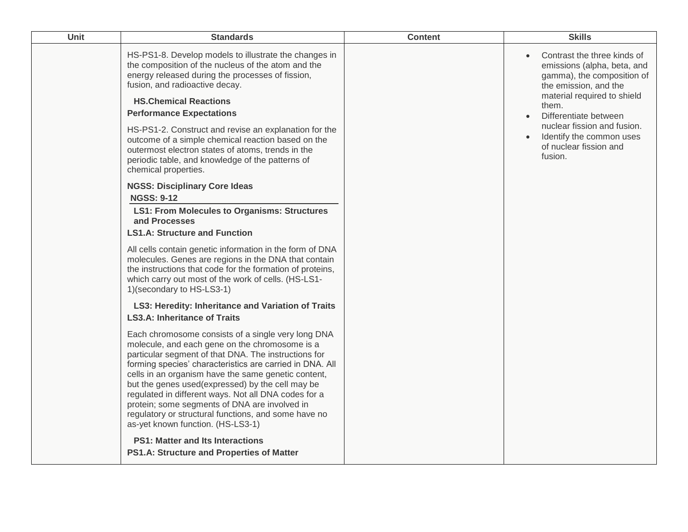| HS-PS1-8. Develop models to illustrate the changes in<br>Contrast the three kinds of<br>$\bullet$<br>the composition of the nucleus of the atom and the<br>emissions (alpha, beta, and<br>energy released during the processes of fission,<br>gamma), the composition of<br>fusion, and radioactive decay.<br>the emission, and the<br>material required to shield<br><b>HS.Chemical Reactions</b><br>them.<br><b>Performance Expectations</b><br>Differentiate between<br>$\bullet$<br>nuclear fission and fusion.<br>HS-PS1-2. Construct and revise an explanation for the<br>Identify the common uses<br>$\bullet$<br>outcome of a simple chemical reaction based on the<br>of nuclear fission and<br>outermost electron states of atoms, trends in the<br>fusion.<br>periodic table, and knowledge of the patterns of<br>chemical properties.<br><b>NGSS: Disciplinary Core Ideas</b><br><b>NGSS: 9-12</b><br><b>LS1: From Molecules to Organisms: Structures</b><br>and Processes<br><b>LS1.A: Structure and Function</b><br>All cells contain genetic information in the form of DNA<br>molecules. Genes are regions in the DNA that contain<br>the instructions that code for the formation of proteins,<br>which carry out most of the work of cells. (HS-LS1-<br>1)(secondary to HS-LS3-1) |  |
|-----------------------------------------------------------------------------------------------------------------------------------------------------------------------------------------------------------------------------------------------------------------------------------------------------------------------------------------------------------------------------------------------------------------------------------------------------------------------------------------------------------------------------------------------------------------------------------------------------------------------------------------------------------------------------------------------------------------------------------------------------------------------------------------------------------------------------------------------------------------------------------------------------------------------------------------------------------------------------------------------------------------------------------------------------------------------------------------------------------------------------------------------------------------------------------------------------------------------------------------------------------------------------------------------------|--|
| LS3: Heredity: Inheritance and Variation of Traits<br><b>LS3.A: Inheritance of Traits</b><br>Each chromosome consists of a single very long DNA<br>molecule, and each gene on the chromosome is a<br>particular segment of that DNA. The instructions for<br>forming species' characteristics are carried in DNA. All<br>cells in an organism have the same genetic content,<br>but the genes used(expressed) by the cell may be<br>regulated in different ways. Not all DNA codes for a<br>protein; some segments of DNA are involved in<br>regulatory or structural functions, and some have no<br>as-yet known function. (HS-LS3-1)<br><b>PS1: Matter and Its Interactions</b>                                                                                                                                                                                                                                                                                                                                                                                                                                                                                                                                                                                                                   |  |
| PS1.A: Structure and Properties of Matter                                                                                                                                                                                                                                                                                                                                                                                                                                                                                                                                                                                                                                                                                                                                                                                                                                                                                                                                                                                                                                                                                                                                                                                                                                                           |  |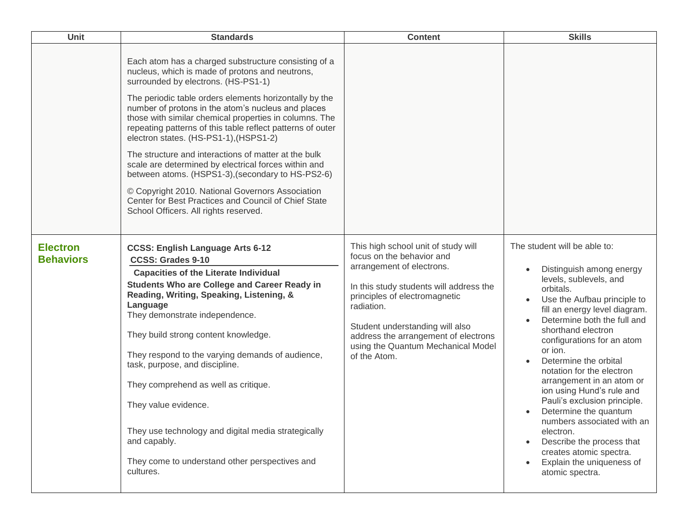| <b>Unit</b>                         | <b>Standards</b>                                                                                                                                                                                                                                                                                                                                                                                                                                                                                                                                                                                                                                                                                                                                           | <b>Content</b>                                                                                                                                                                                                                                                                                                           | <b>Skills</b>                                                                                                                                                                                                                                                                                                                                                                                                                                                                                                                                                                             |
|-------------------------------------|------------------------------------------------------------------------------------------------------------------------------------------------------------------------------------------------------------------------------------------------------------------------------------------------------------------------------------------------------------------------------------------------------------------------------------------------------------------------------------------------------------------------------------------------------------------------------------------------------------------------------------------------------------------------------------------------------------------------------------------------------------|--------------------------------------------------------------------------------------------------------------------------------------------------------------------------------------------------------------------------------------------------------------------------------------------------------------------------|-------------------------------------------------------------------------------------------------------------------------------------------------------------------------------------------------------------------------------------------------------------------------------------------------------------------------------------------------------------------------------------------------------------------------------------------------------------------------------------------------------------------------------------------------------------------------------------------|
|                                     | Each atom has a charged substructure consisting of a<br>nucleus, which is made of protons and neutrons,<br>surrounded by electrons. (HS-PS1-1)<br>The periodic table orders elements horizontally by the<br>number of protons in the atom's nucleus and places<br>those with similar chemical properties in columns. The<br>repeating patterns of this table reflect patterns of outer<br>electron states. (HS-PS1-1), (HSPS1-2)<br>The structure and interactions of matter at the bulk<br>scale are determined by electrical forces within and<br>between atoms. (HSPS1-3), (secondary to HS-PS2-6)<br>© Copyright 2010. National Governors Association<br>Center for Best Practices and Council of Chief State<br>School Officers. All rights reserved. |                                                                                                                                                                                                                                                                                                                          |                                                                                                                                                                                                                                                                                                                                                                                                                                                                                                                                                                                           |
| <b>Electron</b><br><b>Behaviors</b> | <b>CCSS: English Language Arts 6-12</b><br><b>CCSS: Grades 9-10</b><br><b>Capacities of the Literate Individual</b><br><b>Students Who are College and Career Ready in</b><br>Reading, Writing, Speaking, Listening, &<br>Language<br>They demonstrate independence.<br>They build strong content knowledge.<br>They respond to the varying demands of audience,<br>task, purpose, and discipline.<br>They comprehend as well as critique.<br>They value evidence.<br>They use technology and digital media strategically<br>and capably.<br>They come to understand other perspectives and<br>cultures.                                                                                                                                                   | This high school unit of study will<br>focus on the behavior and<br>arrangement of electrons.<br>In this study students will address the<br>principles of electromagnetic<br>radiation.<br>Student understanding will also<br>address the arrangement of electrons<br>using the Quantum Mechanical Model<br>of the Atom. | The student will be able to:<br>Distinguish among energy<br>levels, sublevels, and<br>orbitals.<br>Use the Aufbau principle to<br>fill an energy level diagram.<br>Determine both the full and<br>shorthand electron<br>configurations for an atom<br>or ion.<br>Determine the orbital<br>notation for the electron<br>arrangement in an atom or<br>ion using Hund's rule and<br>Pauli's exclusion principle.<br>Determine the quantum<br>numbers associated with an<br>electron.<br>Describe the process that<br>creates atomic spectra.<br>Explain the uniqueness of<br>atomic spectra. |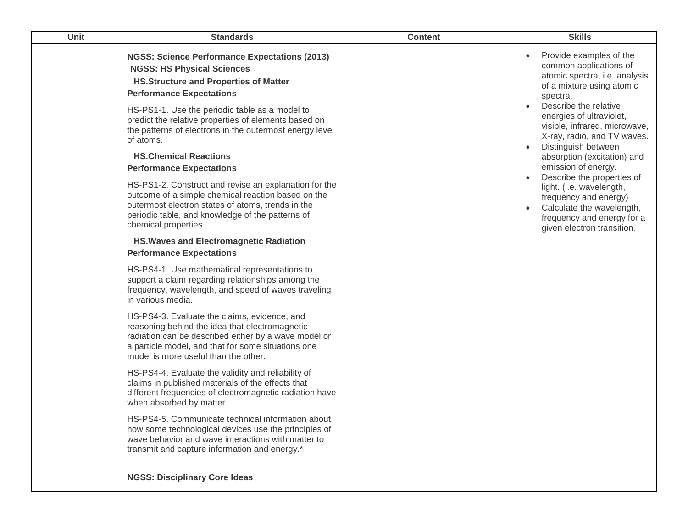| Unit | <b>Standards</b>                                                                                                                                                                                                                                                                                                                                               | <b>Content</b> | <b>Skills</b>                                                                                                                                                                                                                                                                        |
|------|----------------------------------------------------------------------------------------------------------------------------------------------------------------------------------------------------------------------------------------------------------------------------------------------------------------------------------------------------------------|----------------|--------------------------------------------------------------------------------------------------------------------------------------------------------------------------------------------------------------------------------------------------------------------------------------|
|      | <b>NGSS: Science Performance Expectations (2013)</b><br><b>NGSS: HS Physical Sciences</b><br><b>HS.Structure and Properties of Matter</b><br><b>Performance Expectations</b><br>HS-PS1-1. Use the periodic table as a model to<br>predict the relative properties of elements based on<br>the patterns of electrons in the outermost energy level<br>of atoms. |                | Provide examples of the<br>common applications of<br>atomic spectra, i.e. analysis<br>of a mixture using atomic<br>spectra.<br>Describe the relative<br>energies of ultraviolet,<br>visible, infrared, microwave,<br>X-ray, radio, and TV waves.<br>Distinguish between<br>$\bullet$ |
|      | <b>HS.Chemical Reactions</b><br><b>Performance Expectations</b>                                                                                                                                                                                                                                                                                                |                | absorption (excitation) and<br>emission of energy.                                                                                                                                                                                                                                   |
|      | HS-PS1-2. Construct and revise an explanation for the<br>outcome of a simple chemical reaction based on the<br>outermost electron states of atoms, trends in the<br>periodic table, and knowledge of the patterns of<br>chemical properties.                                                                                                                   |                | Describe the properties of<br>$\bullet$<br>light. (i.e. wavelength,<br>frequency and energy)<br>Calculate the wavelength,<br>frequency and energy for a<br>given electron transition.                                                                                                |
|      | <b>HS. Waves and Electromagnetic Radiation</b><br><b>Performance Expectations</b>                                                                                                                                                                                                                                                                              |                |                                                                                                                                                                                                                                                                                      |
|      | HS-PS4-1. Use mathematical representations to<br>support a claim regarding relationships among the<br>frequency, wavelength, and speed of waves traveling<br>in various media.                                                                                                                                                                                 |                |                                                                                                                                                                                                                                                                                      |
|      | HS-PS4-3. Evaluate the claims, evidence, and<br>reasoning behind the idea that electromagnetic<br>radiation can be described either by a wave model or<br>a particle model, and that for some situations one<br>model is more useful than the other.                                                                                                           |                |                                                                                                                                                                                                                                                                                      |
|      | HS-PS4-4. Evaluate the validity and reliability of<br>claims in published materials of the effects that<br>different frequencies of electromagnetic radiation have<br>when absorbed by matter.                                                                                                                                                                 |                |                                                                                                                                                                                                                                                                                      |
|      | HS-PS4-5. Communicate technical information about<br>how some technological devices use the principles of<br>wave behavior and wave interactions with matter to<br>transmit and capture information and energy.*                                                                                                                                               |                |                                                                                                                                                                                                                                                                                      |
|      | <b>NGSS: Disciplinary Core Ideas</b>                                                                                                                                                                                                                                                                                                                           |                |                                                                                                                                                                                                                                                                                      |
|      |                                                                                                                                                                                                                                                                                                                                                                |                |                                                                                                                                                                                                                                                                                      |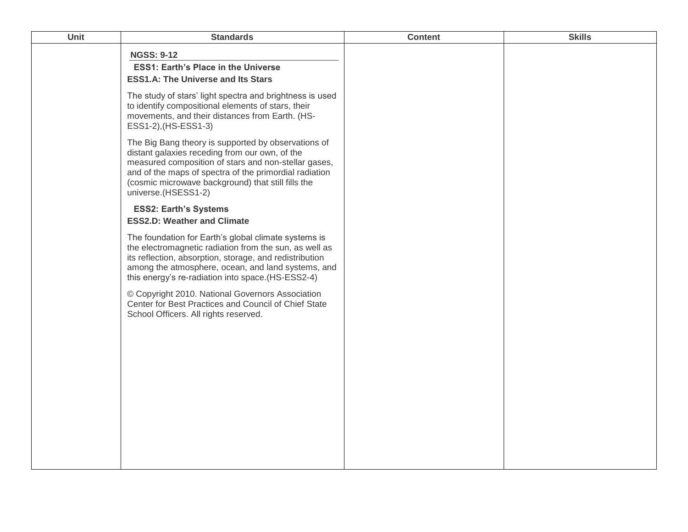| Unit | <b>Standards</b>                                                                                                                                                                                                                                                                                     | <b>Content</b> | <b>Skills</b> |
|------|------------------------------------------------------------------------------------------------------------------------------------------------------------------------------------------------------------------------------------------------------------------------------------------------------|----------------|---------------|
|      | <b>NGSS: 9-12</b><br><b>ESS1: Earth's Place in the Universe</b><br><b>ESS1.A: The Universe and Its Stars</b>                                                                                                                                                                                         |                |               |
|      | The study of stars' light spectra and brightness is used<br>to identify compositional elements of stars, their<br>movements, and their distances from Earth. (HS-<br>ESS1-2), (HS-ESS1-3)                                                                                                            |                |               |
|      | The Big Bang theory is supported by observations of<br>distant galaxies receding from our own, of the<br>measured composition of stars and non-stellar gases,<br>and of the maps of spectra of the primordial radiation<br>(cosmic microwave background) that still fills the<br>universe.(HSESS1-2) |                |               |
|      | <b>ESS2: Earth's Systems</b><br><b>ESS2.D: Weather and Climate</b>                                                                                                                                                                                                                                   |                |               |
|      | The foundation for Earth's global climate systems is<br>the electromagnetic radiation from the sun, as well as<br>its reflection, absorption, storage, and redistribution<br>among the atmosphere, ocean, and land systems, and<br>this energy's re-radiation into space.(HS-ESS2-4)                 |                |               |
|      | © Copyright 2010. National Governors Association<br>Center for Best Practices and Council of Chief State<br>School Officers. All rights reserved.                                                                                                                                                    |                |               |
|      |                                                                                                                                                                                                                                                                                                      |                |               |
|      |                                                                                                                                                                                                                                                                                                      |                |               |
|      |                                                                                                                                                                                                                                                                                                      |                |               |
|      |                                                                                                                                                                                                                                                                                                      |                |               |
|      |                                                                                                                                                                                                                                                                                                      |                |               |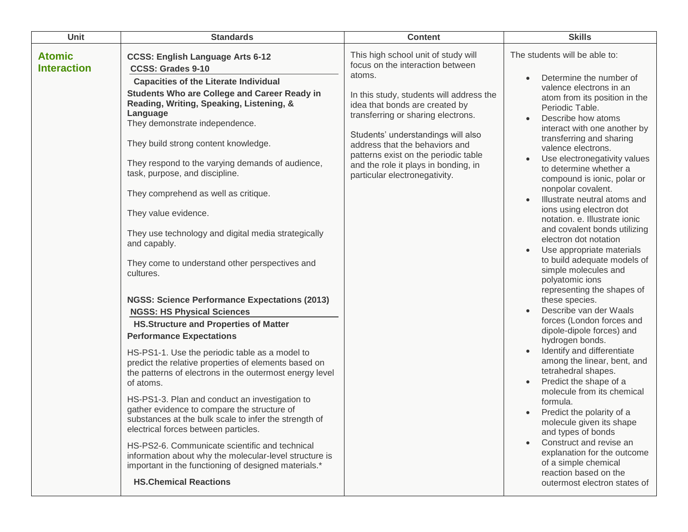| Unit                                | <b>Standards</b>                                                                                                                                                                                                                                                                                                                                                                                                                                                                                                                                                                                                                                                                                                                                                                                                                                                                                                                                                                                                                                                                                                                                                                                                                                                                                                                                                          | <b>Content</b>                                                                                                                                                                                                                                                                                                                                                                                 | <b>Skills</b>                                                                                                                                                                                                                                                                                                                                                                                                                                                                                                                                                                                                                                                                                                                                                                                                                                                                                                                                                                                                                                                                                                                                                                                                           |
|-------------------------------------|---------------------------------------------------------------------------------------------------------------------------------------------------------------------------------------------------------------------------------------------------------------------------------------------------------------------------------------------------------------------------------------------------------------------------------------------------------------------------------------------------------------------------------------------------------------------------------------------------------------------------------------------------------------------------------------------------------------------------------------------------------------------------------------------------------------------------------------------------------------------------------------------------------------------------------------------------------------------------------------------------------------------------------------------------------------------------------------------------------------------------------------------------------------------------------------------------------------------------------------------------------------------------------------------------------------------------------------------------------------------------|------------------------------------------------------------------------------------------------------------------------------------------------------------------------------------------------------------------------------------------------------------------------------------------------------------------------------------------------------------------------------------------------|-------------------------------------------------------------------------------------------------------------------------------------------------------------------------------------------------------------------------------------------------------------------------------------------------------------------------------------------------------------------------------------------------------------------------------------------------------------------------------------------------------------------------------------------------------------------------------------------------------------------------------------------------------------------------------------------------------------------------------------------------------------------------------------------------------------------------------------------------------------------------------------------------------------------------------------------------------------------------------------------------------------------------------------------------------------------------------------------------------------------------------------------------------------------------------------------------------------------------|
| <b>Atomic</b><br><b>Interaction</b> | <b>CCSS: English Language Arts 6-12</b><br><b>CCSS: Grades 9-10</b><br><b>Capacities of the Literate Individual</b><br>Students Who are College and Career Ready in<br>Reading, Writing, Speaking, Listening, &<br>Language<br>They demonstrate independence.<br>They build strong content knowledge.<br>They respond to the varying demands of audience,<br>task, purpose, and discipline.<br>They comprehend as well as critique.<br>They value evidence.<br>They use technology and digital media strategically<br>and capably.<br>They come to understand other perspectives and<br>cultures.<br><b>NGSS: Science Performance Expectations (2013)</b><br><b>NGSS: HS Physical Sciences</b><br><b>HS.Structure and Properties of Matter</b><br><b>Performance Expectations</b><br>HS-PS1-1. Use the periodic table as a model to<br>predict the relative properties of elements based on<br>the patterns of electrons in the outermost energy level<br>of atoms.<br>HS-PS1-3. Plan and conduct an investigation to<br>gather evidence to compare the structure of<br>substances at the bulk scale to infer the strength of<br>electrical forces between particles.<br>HS-PS2-6. Communicate scientific and technical<br>information about why the molecular-level structure is<br>important in the functioning of designed materials.*<br><b>HS.Chemical Reactions</b> | This high school unit of study will<br>focus on the interaction between<br>atoms.<br>In this study, students will address the<br>idea that bonds are created by<br>transferring or sharing electrons.<br>Students' understandings will also<br>address that the behaviors and<br>patterns exist on the periodic table<br>and the role it plays in bonding, in<br>particular electronegativity. | The students will be able to:<br>Determine the number of<br>$\bullet$<br>valence electrons in an<br>atom from its position in the<br>Periodic Table.<br>Describe how atoms<br>$\bullet$<br>interact with one another by<br>transferring and sharing<br>valence electrons.<br>Use electronegativity values<br>to determine whether a<br>compound is ionic, polar or<br>nonpolar covalent.<br>Illustrate neutral atoms and<br>ions using electron dot<br>notation. e. Illustrate ionic<br>and covalent bonds utilizing<br>electron dot notation<br>Use appropriate materials<br>to build adequate models of<br>simple molecules and<br>polyatomic ions<br>representing the shapes of<br>these species.<br>Describe van der Waals<br>$\bullet$<br>forces (London forces and<br>dipole-dipole forces) and<br>hydrogen bonds.<br>Identify and differentiate<br>among the linear, bent, and<br>tetrahedral shapes.<br>Predict the shape of a<br>molecule from its chemical<br>formula.<br>Predict the polarity of a<br>$\bullet$<br>molecule given its shape<br>and types of bonds<br>Construct and revise an<br>explanation for the outcome<br>of a simple chemical<br>reaction based on the<br>outermost electron states of |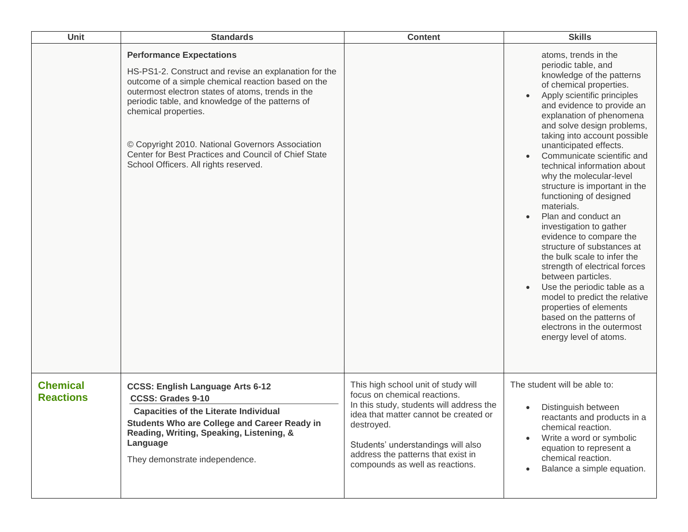| Unit                                | <b>Standards</b>                                                                                                                                                                                                                                                                                                                                                                                                                     | <b>Content</b>                                                                                                                                                                                                                                                                        | <b>Skills</b>                                                                                                                                                                                                                                                                                                                                                                                                                                                                                                                                                                                                                                                                                                                                                                                                                                      |
|-------------------------------------|--------------------------------------------------------------------------------------------------------------------------------------------------------------------------------------------------------------------------------------------------------------------------------------------------------------------------------------------------------------------------------------------------------------------------------------|---------------------------------------------------------------------------------------------------------------------------------------------------------------------------------------------------------------------------------------------------------------------------------------|----------------------------------------------------------------------------------------------------------------------------------------------------------------------------------------------------------------------------------------------------------------------------------------------------------------------------------------------------------------------------------------------------------------------------------------------------------------------------------------------------------------------------------------------------------------------------------------------------------------------------------------------------------------------------------------------------------------------------------------------------------------------------------------------------------------------------------------------------|
|                                     | <b>Performance Expectations</b><br>HS-PS1-2. Construct and revise an explanation for the<br>outcome of a simple chemical reaction based on the<br>outermost electron states of atoms, trends in the<br>periodic table, and knowledge of the patterns of<br>chemical properties.<br>© Copyright 2010. National Governors Association<br>Center for Best Practices and Council of Chief State<br>School Officers. All rights reserved. |                                                                                                                                                                                                                                                                                       | atoms, trends in the<br>periodic table, and<br>knowledge of the patterns<br>of chemical properties.<br>Apply scientific principles<br>and evidence to provide an<br>explanation of phenomena<br>and solve design problems,<br>taking into account possible<br>unanticipated effects.<br>Communicate scientific and<br>$\bullet$<br>technical information about<br>why the molecular-level<br>structure is important in the<br>functioning of designed<br>materials.<br>Plan and conduct an<br>investigation to gather<br>evidence to compare the<br>structure of substances at<br>the bulk scale to infer the<br>strength of electrical forces<br>between particles.<br>Use the periodic table as a<br>model to predict the relative<br>properties of elements<br>based on the patterns of<br>electrons in the outermost<br>energy level of atoms. |
| <b>Chemical</b><br><b>Reactions</b> | <b>CCSS: English Language Arts 6-12</b><br><b>CCSS: Grades 9-10</b><br><b>Capacities of the Literate Individual</b><br><b>Students Who are College and Career Ready in</b><br>Reading, Writing, Speaking, Listening, &<br>Language<br>They demonstrate independence.                                                                                                                                                                 | This high school unit of study will<br>focus on chemical reactions.<br>In this study, students will address the<br>idea that matter cannot be created or<br>destroyed.<br>Students' understandings will also<br>address the patterns that exist in<br>compounds as well as reactions. | The student will be able to:<br>Distinguish between<br>reactants and products in a<br>chemical reaction.<br>Write a word or symbolic<br>$\bullet$<br>equation to represent a<br>chemical reaction.<br>Balance a simple equation.<br>$\bullet$                                                                                                                                                                                                                                                                                                                                                                                                                                                                                                                                                                                                      |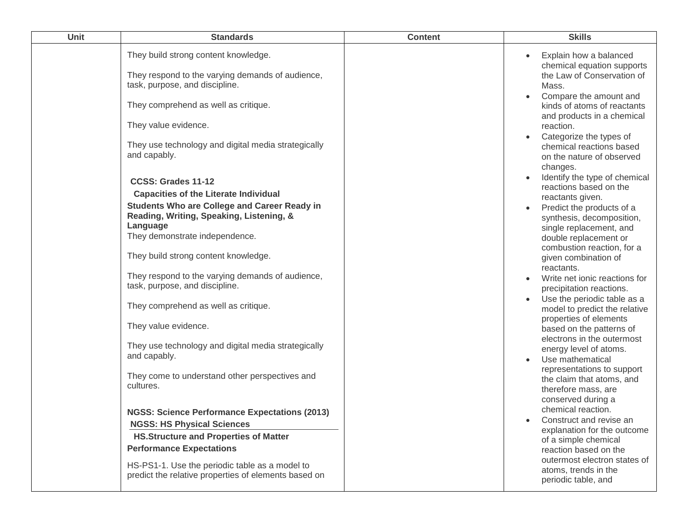| They build strong content knowledge.<br>They respond to the varying demands of audience,<br>task, purpose, and discipline.<br>They comprehend as well as critique. |                                                                                                                                                                                                                                                                                                                                                                                                                                                                                                                                                                                                                                                                                                                                                                                                                   | Explain how a balanced<br>chemical equation supports<br>the Law of Conservation of                                                                                                                                                                                                                                                                                                                                                                                                                                                                                                                                                                                                                                                                                                                                                                                                                 |
|--------------------------------------------------------------------------------------------------------------------------------------------------------------------|-------------------------------------------------------------------------------------------------------------------------------------------------------------------------------------------------------------------------------------------------------------------------------------------------------------------------------------------------------------------------------------------------------------------------------------------------------------------------------------------------------------------------------------------------------------------------------------------------------------------------------------------------------------------------------------------------------------------------------------------------------------------------------------------------------------------|----------------------------------------------------------------------------------------------------------------------------------------------------------------------------------------------------------------------------------------------------------------------------------------------------------------------------------------------------------------------------------------------------------------------------------------------------------------------------------------------------------------------------------------------------------------------------------------------------------------------------------------------------------------------------------------------------------------------------------------------------------------------------------------------------------------------------------------------------------------------------------------------------|
|                                                                                                                                                                    |                                                                                                                                                                                                                                                                                                                                                                                                                                                                                                                                                                                                                                                                                                                                                                                                                   | Mass.<br>Compare the amount and<br>kinds of atoms of reactants<br>and products in a chemical<br>reaction.<br>Categorize the types of<br>chemical reactions based<br>on the nature of observed<br>changes.<br>Identify the type of chemical<br>reactions based on the<br>reactants given.<br>Predict the products of a<br>synthesis, decomposition,<br>single replacement, and<br>double replacement or<br>combustion reaction, for a<br>given combination of<br>reactants.<br>Write net ionic reactions for<br>precipitation reactions.<br>Use the periodic table as a<br>model to predict the relative<br>properties of elements<br>based on the patterns of<br>electrons in the outermost<br>energy level of atoms.<br>Use mathematical<br>representations to support<br>the claim that atoms, and<br>therefore mass, are<br>conserved during a<br>chemical reaction.<br>Construct and revise an |
|                                                                                                                                                                    |                                                                                                                                                                                                                                                                                                                                                                                                                                                                                                                                                                                                                                                                                                                                                                                                                   | explanation for the outcome<br>of a simple chemical<br>reaction based on the<br>outermost electron states of<br>atoms, trends in the<br>periodic table, and                                                                                                                                                                                                                                                                                                                                                                                                                                                                                                                                                                                                                                                                                                                                        |
|                                                                                                                                                                    | They use technology and digital media strategically<br><b>Capacities of the Literate Individual</b><br><b>Students Who are College and Career Ready in</b><br>Reading, Writing, Speaking, Listening, &<br>They demonstrate independence.<br>They build strong content knowledge.<br>They respond to the varying demands of audience,<br>task, purpose, and discipline.<br>They comprehend as well as critique.<br>They use technology and digital media strategically<br>They come to understand other perspectives and<br><b>NGSS: Science Performance Expectations (2013)</b><br><b>NGSS: HS Physical Sciences</b><br><b>HS.Structure and Properties of Matter</b><br><b>Performance Expectations</b><br>HS-PS1-1. Use the periodic table as a model to<br>predict the relative properties of elements based on |                                                                                                                                                                                                                                                                                                                                                                                                                                                                                                                                                                                                                                                                                                                                                                                                                                                                                                    |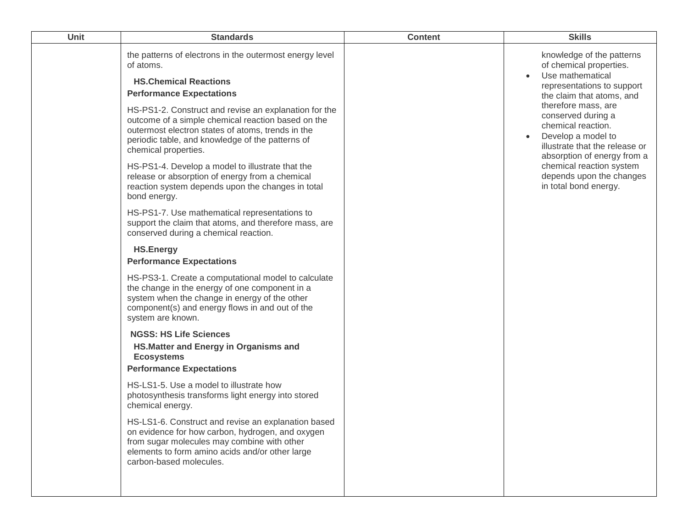| Unit | <b>Standards</b>                                                                                                                                                                                                                                                                                                                                                                                                                                                                                                                                                                                                                                                                                                                                                                                                                                                                                                                                                                                                                                                                                                                                                                                                                                                                                                                                                                   | <b>Content</b> | <b>Skills</b>                                                                                                                                                                                                                                                                                                                                                                               |
|------|------------------------------------------------------------------------------------------------------------------------------------------------------------------------------------------------------------------------------------------------------------------------------------------------------------------------------------------------------------------------------------------------------------------------------------------------------------------------------------------------------------------------------------------------------------------------------------------------------------------------------------------------------------------------------------------------------------------------------------------------------------------------------------------------------------------------------------------------------------------------------------------------------------------------------------------------------------------------------------------------------------------------------------------------------------------------------------------------------------------------------------------------------------------------------------------------------------------------------------------------------------------------------------------------------------------------------------------------------------------------------------|----------------|---------------------------------------------------------------------------------------------------------------------------------------------------------------------------------------------------------------------------------------------------------------------------------------------------------------------------------------------------------------------------------------------|
|      | the patterns of electrons in the outermost energy level<br>of atoms.<br><b>HS.Chemical Reactions</b><br><b>Performance Expectations</b><br>HS-PS1-2. Construct and revise an explanation for the<br>outcome of a simple chemical reaction based on the<br>outermost electron states of atoms, trends in the<br>periodic table, and knowledge of the patterns of<br>chemical properties.<br>HS-PS1-4. Develop a model to illustrate that the<br>release or absorption of energy from a chemical<br>reaction system depends upon the changes in total<br>bond energy.<br>HS-PS1-7. Use mathematical representations to<br>support the claim that atoms, and therefore mass, are<br>conserved during a chemical reaction.<br><b>HS.Energy</b><br><b>Performance Expectations</b><br>HS-PS3-1. Create a computational model to calculate<br>the change in the energy of one component in a<br>system when the change in energy of the other<br>component(s) and energy flows in and out of the<br>system are known.<br><b>NGSS: HS Life Sciences</b><br>HS. Matter and Energy in Organisms and<br><b>Ecosystems</b><br><b>Performance Expectations</b><br>HS-LS1-5. Use a model to illustrate how<br>photosynthesis transforms light energy into stored<br>chemical energy.<br>HS-LS1-6. Construct and revise an explanation based<br>on evidence for how carbon, hydrogen, and oxygen |                | knowledge of the patterns<br>of chemical properties.<br>Use mathematical<br>representations to support<br>the claim that atoms, and<br>therefore mass, are<br>conserved during a<br>chemical reaction.<br>Develop a model to<br>$\bullet$<br>illustrate that the release or<br>absorption of energy from a<br>chemical reaction system<br>depends upon the changes<br>in total bond energy. |
|      | from sugar molecules may combine with other<br>elements to form amino acids and/or other large<br>carbon-based molecules.                                                                                                                                                                                                                                                                                                                                                                                                                                                                                                                                                                                                                                                                                                                                                                                                                                                                                                                                                                                                                                                                                                                                                                                                                                                          |                |                                                                                                                                                                                                                                                                                                                                                                                             |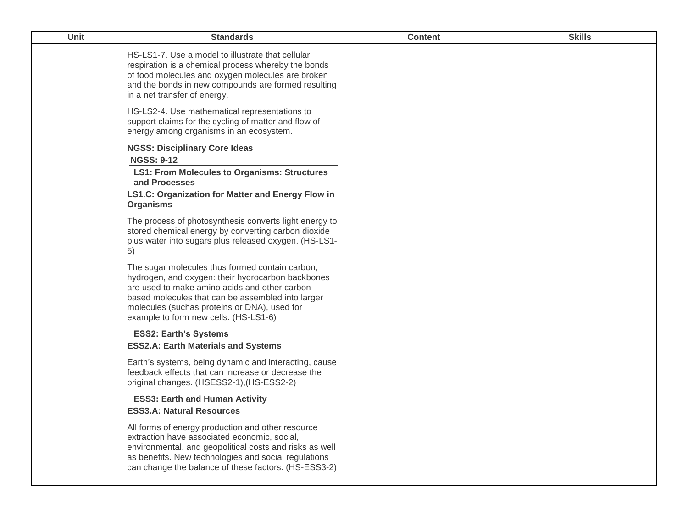| Unit | <b>Standards</b>                                                                                                                                                                                                                                                                                     | <b>Content</b> | <b>Skills</b> |
|------|------------------------------------------------------------------------------------------------------------------------------------------------------------------------------------------------------------------------------------------------------------------------------------------------------|----------------|---------------|
|      | HS-LS1-7. Use a model to illustrate that cellular<br>respiration is a chemical process whereby the bonds<br>of food molecules and oxygen molecules are broken<br>and the bonds in new compounds are formed resulting<br>in a net transfer of energy.                                                 |                |               |
|      | HS-LS2-4. Use mathematical representations to<br>support claims for the cycling of matter and flow of<br>energy among organisms in an ecosystem.                                                                                                                                                     |                |               |
|      | <b>NGSS: Disciplinary Core Ideas</b><br><b>NGSS: 9-12</b><br><b>LS1: From Molecules to Organisms: Structures</b><br>and Processes<br>LS1.C: Organization for Matter and Energy Flow in<br><b>Organisms</b>                                                                                           |                |               |
|      | The process of photosynthesis converts light energy to<br>stored chemical energy by converting carbon dioxide<br>plus water into sugars plus released oxygen. (HS-LS1-<br>5)                                                                                                                         |                |               |
|      | The sugar molecules thus formed contain carbon,<br>hydrogen, and oxygen: their hydrocarbon backbones<br>are used to make amino acids and other carbon-<br>based molecules that can be assembled into larger<br>molecules (suchas proteins or DNA), used for<br>example to form new cells. (HS-LS1-6) |                |               |
|      | <b>ESS2: Earth's Systems</b><br><b>ESS2.A: Earth Materials and Systems</b>                                                                                                                                                                                                                           |                |               |
|      | Earth's systems, being dynamic and interacting, cause<br>feedback effects that can increase or decrease the<br>original changes. (HSESS2-1), (HS-ESS2-2)                                                                                                                                             |                |               |
|      | <b>ESS3: Earth and Human Activity</b><br><b>ESS3.A: Natural Resources</b>                                                                                                                                                                                                                            |                |               |
|      | All forms of energy production and other resource<br>extraction have associated economic, social,<br>environmental, and geopolitical costs and risks as well<br>as benefits. New technologies and social regulations<br>can change the balance of these factors. (HS-ESS3-2)                         |                |               |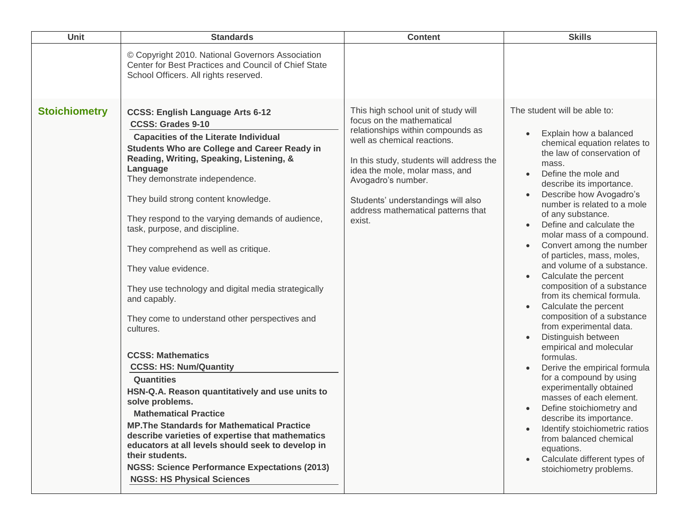| Unit                 | <b>Standards</b>                                                                                                                                                                                                                                                                                                                                                                                                                                                                                                                                                                                                                                                                                                                                                                                                                                                                                                                                                                                                                                                                | <b>Content</b>                                                                                                                                                                                                                                                                                                                 | <b>Skills</b>                                                                                                                                                                                                                                                                                                                                                                                                                                                                                                                                                                                                                                                                                                                                                                                                                                                                                                                                                        |
|----------------------|---------------------------------------------------------------------------------------------------------------------------------------------------------------------------------------------------------------------------------------------------------------------------------------------------------------------------------------------------------------------------------------------------------------------------------------------------------------------------------------------------------------------------------------------------------------------------------------------------------------------------------------------------------------------------------------------------------------------------------------------------------------------------------------------------------------------------------------------------------------------------------------------------------------------------------------------------------------------------------------------------------------------------------------------------------------------------------|--------------------------------------------------------------------------------------------------------------------------------------------------------------------------------------------------------------------------------------------------------------------------------------------------------------------------------|----------------------------------------------------------------------------------------------------------------------------------------------------------------------------------------------------------------------------------------------------------------------------------------------------------------------------------------------------------------------------------------------------------------------------------------------------------------------------------------------------------------------------------------------------------------------------------------------------------------------------------------------------------------------------------------------------------------------------------------------------------------------------------------------------------------------------------------------------------------------------------------------------------------------------------------------------------------------|
|                      | © Copyright 2010. National Governors Association<br>Center for Best Practices and Council of Chief State<br>School Officers. All rights reserved.                                                                                                                                                                                                                                                                                                                                                                                                                                                                                                                                                                                                                                                                                                                                                                                                                                                                                                                               |                                                                                                                                                                                                                                                                                                                                |                                                                                                                                                                                                                                                                                                                                                                                                                                                                                                                                                                                                                                                                                                                                                                                                                                                                                                                                                                      |
| <b>Stoichiometry</b> | <b>CCSS: English Language Arts 6-12</b><br><b>CCSS: Grades 9-10</b><br><b>Capacities of the Literate Individual</b><br><b>Students Who are College and Career Ready in</b><br>Reading, Writing, Speaking, Listening, &<br>Language<br>They demonstrate independence.<br>They build strong content knowledge.<br>They respond to the varying demands of audience,<br>task, purpose, and discipline.<br>They comprehend as well as critique.<br>They value evidence.<br>They use technology and digital media strategically<br>and capably.<br>They come to understand other perspectives and<br>cultures.<br><b>CCSS: Mathematics</b><br><b>CCSS: HS: Num/Quantity</b><br><b>Quantities</b><br>HSN-Q.A. Reason quantitatively and use units to<br>solve problems.<br><b>Mathematical Practice</b><br><b>MP. The Standards for Mathematical Practice</b><br>describe varieties of expertise that mathematics<br>educators at all levels should seek to develop in<br>their students.<br><b>NGSS: Science Performance Expectations (2013)</b><br><b>NGSS: HS Physical Sciences</b> | This high school unit of study will<br>focus on the mathematical<br>relationships within compounds as<br>well as chemical reactions.<br>In this study, students will address the<br>idea the mole, molar mass, and<br>Avogadro's number.<br>Students' understandings will also<br>address mathematical patterns that<br>exist. | The student will be able to:<br>Explain how a balanced<br>chemical equation relates to<br>the law of conservation of<br>mass.<br>Define the mole and<br>describe its importance.<br>Describe how Avogadro's<br>number is related to a mole<br>of any substance.<br>Define and calculate the<br>molar mass of a compound.<br>Convert among the number<br>of particles, mass, moles,<br>and volume of a substance.<br>Calculate the percent<br>composition of a substance<br>from its chemical formula.<br>Calculate the percent<br>composition of a substance<br>from experimental data.<br>Distinguish between<br>empirical and molecular<br>formulas.<br>Derive the empirical formula<br>for a compound by using<br>experimentally obtained<br>masses of each element.<br>Define stoichiometry and<br>describe its importance.<br>Identify stoichiometric ratios<br>from balanced chemical<br>equations.<br>Calculate different types of<br>stoichiometry problems. |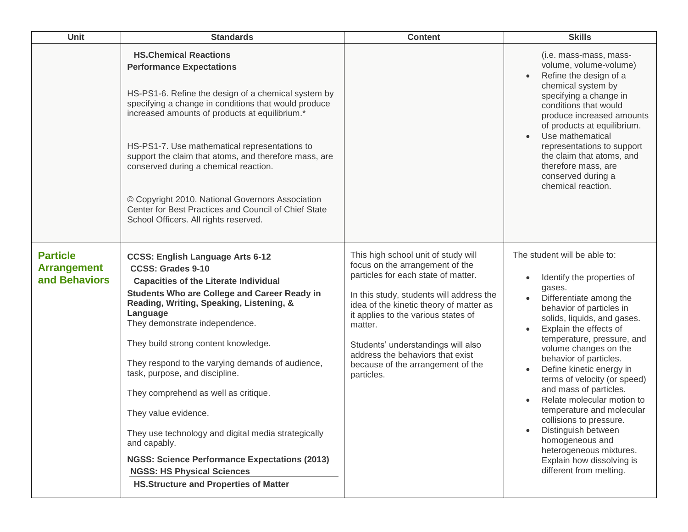| <b>Unit</b>                                            | <b>Standards</b>                                                                                                                                                                                                                                                                                                                                                                                                                                                                                                                                                                                                                                                                       | <b>Content</b>                                                                                                                                                                                                                                                                                                                                                                      | <b>Skills</b>                                                                                                                                                                                                                                                                                                                                                                                                                                                                                                                                                                                                                      |
|--------------------------------------------------------|----------------------------------------------------------------------------------------------------------------------------------------------------------------------------------------------------------------------------------------------------------------------------------------------------------------------------------------------------------------------------------------------------------------------------------------------------------------------------------------------------------------------------------------------------------------------------------------------------------------------------------------------------------------------------------------|-------------------------------------------------------------------------------------------------------------------------------------------------------------------------------------------------------------------------------------------------------------------------------------------------------------------------------------------------------------------------------------|------------------------------------------------------------------------------------------------------------------------------------------------------------------------------------------------------------------------------------------------------------------------------------------------------------------------------------------------------------------------------------------------------------------------------------------------------------------------------------------------------------------------------------------------------------------------------------------------------------------------------------|
|                                                        | <b>HS.Chemical Reactions</b><br><b>Performance Expectations</b><br>HS-PS1-6. Refine the design of a chemical system by<br>specifying a change in conditions that would produce<br>increased amounts of products at equilibrium.*<br>HS-PS1-7. Use mathematical representations to<br>support the claim that atoms, and therefore mass, are<br>conserved during a chemical reaction.<br>© Copyright 2010. National Governors Association<br>Center for Best Practices and Council of Chief State<br>School Officers. All rights reserved.                                                                                                                                               |                                                                                                                                                                                                                                                                                                                                                                                     | (i.e. mass-mass, mass-<br>volume, volume-volume)<br>Refine the design of a<br>chemical system by<br>specifying a change in<br>conditions that would<br>produce increased amounts<br>of products at equilibrium.<br>Use mathematical<br>$\bullet$<br>representations to support<br>the claim that atoms, and<br>therefore mass, are<br>conserved during a<br>chemical reaction.                                                                                                                                                                                                                                                     |
| <b>Particle</b><br><b>Arrangement</b><br>and Behaviors | <b>CCSS: English Language Arts 6-12</b><br><b>CCSS: Grades 9-10</b><br><b>Capacities of the Literate Individual</b><br><b>Students Who are College and Career Ready in</b><br>Reading, Writing, Speaking, Listening, &<br>Language<br>They demonstrate independence.<br>They build strong content knowledge.<br>They respond to the varying demands of audience,<br>task, purpose, and discipline.<br>They comprehend as well as critique.<br>They value evidence.<br>They use technology and digital media strategically<br>and capably.<br><b>NGSS: Science Performance Expectations (2013)</b><br><b>NGSS: HS Physical Sciences</b><br><b>HS.Structure and Properties of Matter</b> | This high school unit of study will<br>focus on the arrangement of the<br>particles for each state of matter.<br>In this study, students will address the<br>idea of the kinetic theory of matter as<br>it applies to the various states of<br>matter.<br>Students' understandings will also<br>address the behaviors that exist<br>because of the arrangement of the<br>particles. | The student will be able to:<br>Identify the properties of<br>$\bullet$<br>gases.<br>Differentiate among the<br>$\bullet$<br>behavior of particles in<br>solids, liquids, and gases.<br>Explain the effects of<br>temperature, pressure, and<br>volume changes on the<br>behavior of particles.<br>Define kinetic energy in<br>$\bullet$<br>terms of velocity (or speed)<br>and mass of particles.<br>Relate molecular motion to<br>temperature and molecular<br>collisions to pressure.<br>Distinguish between<br>$\bullet$<br>homogeneous and<br>heterogeneous mixtures.<br>Explain how dissolving is<br>different from melting. |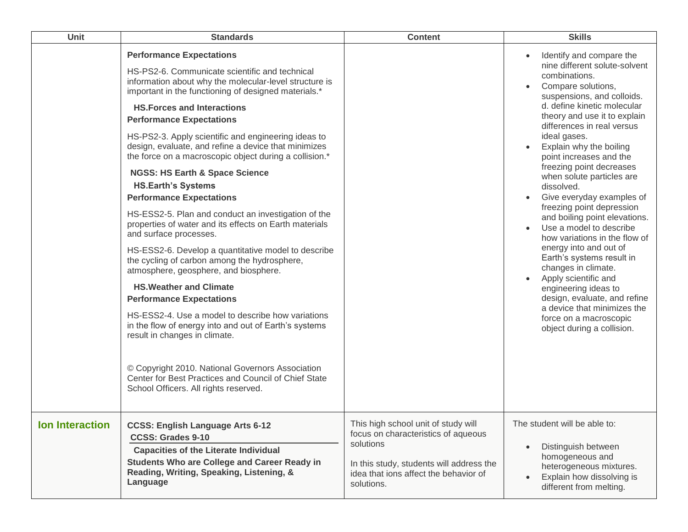| Unit                   | <b>Standards</b>                                                                                                                                                                                                                                                                                                                                                                                                                                                                                                                                                                                                                                                                                                                                                                                                                                                                                                                                                                                                                                                                                                                                                                                                                       | <b>Content</b>                                                                                                                                                                             | <b>Skills</b>                                                                                                                                                                                                                                                                                                                                                                                                                                                                                                                                                                                                                                                                                                                                                                        |
|------------------------|----------------------------------------------------------------------------------------------------------------------------------------------------------------------------------------------------------------------------------------------------------------------------------------------------------------------------------------------------------------------------------------------------------------------------------------------------------------------------------------------------------------------------------------------------------------------------------------------------------------------------------------------------------------------------------------------------------------------------------------------------------------------------------------------------------------------------------------------------------------------------------------------------------------------------------------------------------------------------------------------------------------------------------------------------------------------------------------------------------------------------------------------------------------------------------------------------------------------------------------|--------------------------------------------------------------------------------------------------------------------------------------------------------------------------------------------|--------------------------------------------------------------------------------------------------------------------------------------------------------------------------------------------------------------------------------------------------------------------------------------------------------------------------------------------------------------------------------------------------------------------------------------------------------------------------------------------------------------------------------------------------------------------------------------------------------------------------------------------------------------------------------------------------------------------------------------------------------------------------------------|
|                        | <b>Performance Expectations</b><br>HS-PS2-6. Communicate scientific and technical<br>information about why the molecular-level structure is<br>important in the functioning of designed materials.*<br><b>HS. Forces and Interactions</b><br><b>Performance Expectations</b><br>HS-PS2-3. Apply scientific and engineering ideas to<br>design, evaluate, and refine a device that minimizes<br>the force on a macroscopic object during a collision.*<br><b>NGSS: HS Earth &amp; Space Science</b><br><b>HS.Earth's Systems</b><br><b>Performance Expectations</b><br>HS-ESS2-5. Plan and conduct an investigation of the<br>properties of water and its effects on Earth materials<br>and surface processes.<br>HS-ESS2-6. Develop a quantitative model to describe<br>the cycling of carbon among the hydrosphere,<br>atmosphere, geosphere, and biosphere.<br><b>HS. Weather and Climate</b><br><b>Performance Expectations</b><br>HS-ESS2-4. Use a model to describe how variations<br>in the flow of energy into and out of Earth's systems<br>result in changes in climate.<br>© Copyright 2010. National Governors Association<br>Center for Best Practices and Council of Chief State<br>School Officers. All rights reserved. |                                                                                                                                                                                            | Identify and compare the<br>nine different solute-solvent<br>combinations.<br>Compare solutions,<br>suspensions, and colloids.<br>d. define kinetic molecular<br>theory and use it to explain<br>differences in real versus<br>ideal gases.<br>Explain why the boiling<br>point increases and the<br>freezing point decreases<br>when solute particles are<br>dissolved.<br>Give everyday examples of<br>freezing point depression<br>and boiling point elevations.<br>Use a model to describe<br>how variations in the flow of<br>energy into and out of<br>Earth's systems result in<br>changes in climate.<br>Apply scientific and<br>engineering ideas to<br>design, evaluate, and refine<br>a device that minimizes the<br>force on a macroscopic<br>object during a collision. |
| <b>Ion Interaction</b> | <b>CCSS: English Language Arts 6-12</b><br><b>CCSS: Grades 9-10</b><br><b>Capacities of the Literate Individual</b><br><b>Students Who are College and Career Ready in</b><br>Reading, Writing, Speaking, Listening, &<br>Language                                                                                                                                                                                                                                                                                                                                                                                                                                                                                                                                                                                                                                                                                                                                                                                                                                                                                                                                                                                                     | This high school unit of study will<br>focus on characteristics of aqueous<br>solutions<br>In this study, students will address the<br>idea that ions affect the behavior of<br>solutions. | The student will be able to:<br>Distinguish between<br>homogeneous and<br>heterogeneous mixtures.<br>Explain how dissolving is<br>different from melting.                                                                                                                                                                                                                                                                                                                                                                                                                                                                                                                                                                                                                            |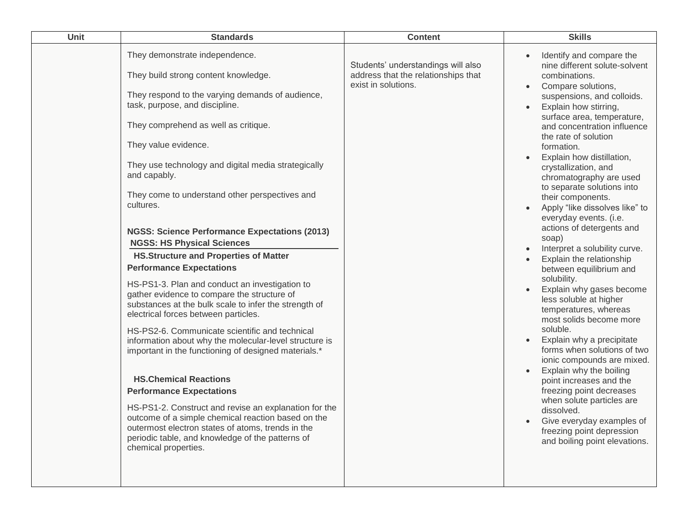| Unit | <b>Standards</b>                                                                                                                                                                                                                                                                                                                                                                                                                                                                                                                                                                                                                                                                                                                                                                                                                                                                                                                                                                                                                                                                                                                                                                                                                            | <b>Content</b>                                                                                   | <b>Skills</b>                                                                                                                                                                                                                                                                                                                                                                                                                                                                                                                                                                                                                                                                                                                                                                                                                                                                                                                                                                                                                                               |
|------|---------------------------------------------------------------------------------------------------------------------------------------------------------------------------------------------------------------------------------------------------------------------------------------------------------------------------------------------------------------------------------------------------------------------------------------------------------------------------------------------------------------------------------------------------------------------------------------------------------------------------------------------------------------------------------------------------------------------------------------------------------------------------------------------------------------------------------------------------------------------------------------------------------------------------------------------------------------------------------------------------------------------------------------------------------------------------------------------------------------------------------------------------------------------------------------------------------------------------------------------|--------------------------------------------------------------------------------------------------|-------------------------------------------------------------------------------------------------------------------------------------------------------------------------------------------------------------------------------------------------------------------------------------------------------------------------------------------------------------------------------------------------------------------------------------------------------------------------------------------------------------------------------------------------------------------------------------------------------------------------------------------------------------------------------------------------------------------------------------------------------------------------------------------------------------------------------------------------------------------------------------------------------------------------------------------------------------------------------------------------------------------------------------------------------------|
|      | They demonstrate independence.<br>They build strong content knowledge.<br>They respond to the varying demands of audience,<br>task, purpose, and discipline.<br>They comprehend as well as critique.<br>They value evidence.<br>They use technology and digital media strategically<br>and capably.<br>They come to understand other perspectives and<br>cultures.<br><b>NGSS: Science Performance Expectations (2013)</b><br><b>NGSS: HS Physical Sciences</b><br><b>HS.Structure and Properties of Matter</b><br><b>Performance Expectations</b><br>HS-PS1-3. Plan and conduct an investigation to<br>gather evidence to compare the structure of<br>substances at the bulk scale to infer the strength of<br>electrical forces between particles.<br>HS-PS2-6. Communicate scientific and technical<br>information about why the molecular-level structure is<br>important in the functioning of designed materials.*<br><b>HS.Chemical Reactions</b><br><b>Performance Expectations</b><br>HS-PS1-2. Construct and revise an explanation for the<br>outcome of a simple chemical reaction based on the<br>outermost electron states of atoms, trends in the<br>periodic table, and knowledge of the patterns of<br>chemical properties. | Students' understandings will also<br>address that the relationships that<br>exist in solutions. | Identify and compare the<br>nine different solute-solvent<br>combinations.<br>Compare solutions,<br>$\bullet$<br>suspensions, and colloids.<br>Explain how stirring,<br>surface area, temperature,<br>and concentration influence<br>the rate of solution<br>formation.<br>Explain how distillation,<br>crystallization, and<br>chromatography are used<br>to separate solutions into<br>their components.<br>Apply "like dissolves like" to<br>everyday events. (i.e.<br>actions of detergents and<br>soap)<br>Interpret a solubility curve.<br>Explain the relationship<br>between equilibrium and<br>solubility.<br>Explain why gases become<br>less soluble at higher<br>temperatures, whereas<br>most solids become more<br>soluble.<br>Explain why a precipitate<br>forms when solutions of two<br>ionic compounds are mixed.<br>Explain why the boiling<br>point increases and the<br>freezing point decreases<br>when solute particles are<br>dissolved.<br>Give everyday examples of<br>freezing point depression<br>and boiling point elevations. |